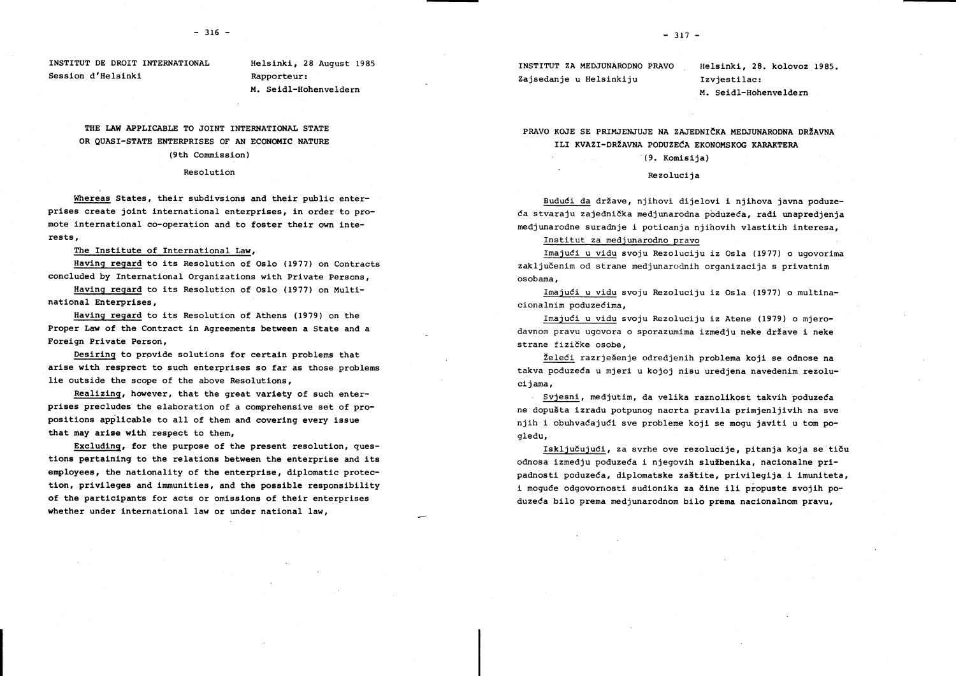INSTITUT DE DROIT INTERNATIONAL Session d'Helsinki

Helsinki, 28 August 1985 Rapporteur: M. Seidl-Hohenveldern

# THE LAW APPLICABLE TO JOINT INTERNATIONAL STATE OR OUASI-STATE ENTERPRISES OF AN ECONOMIC NATURE (9th Commission)

#### Resolution

Whereas States, their subdivsions and their public enterprises create joint international enterprises, in order to promote international co-operation and to foster their own interests,

The Institute of International Law.

Having regard to its Resolution of Oslo (1977) on Contracts concluded by International Organizations with Private Persons.

Having regard to its Resolution of Oslo (1977) on Multinational Enterprises,

Having regard to its Resolution of Athens (1979) on the Proper Law of the Contract in Agreements between a State and a Foreign Private Person,

Desiring to provide solutions for certain problems that arise with resprect to such enterprises so far as those problems lie outside the scope of the above Resolutions,

Realizing, however, that the great variety of such enterprises precludes the elaboration of a comprehensive set of propositions applicable to all of them and covering every issue that may arise with respect to them,

Excluding, for the purpose of the present resolution, questions pertaining to the relations between the enterprise and its employees, the nationality of the enterprise, diplomatic protection, privileges and immunities, and the possible responsibility of the participants for acts or omissions of their enterprises whether under international law or under national law,

INSTITUT ZA MEDJUNARODNO PRAVO Zajsedanie u Helsinkiju

Helsinki. 28. kolovoz 1985. Izviestilac: M. Seidl-Hohenveldern

PRAVO KOJE SE PRIMJENJUJE NA ZAJEDNIČKA MEDJUNARODNA DRŽAVNA ILI KVAZI-DRŽAVNA PODUZEĆA EKONOMSKOG KARAKTERA

#### (9. Komisija)

#### Rezoluciia

Budući da države, njihovi dijelovi i njihova javna poduzeća stvaraju zajednička medjunarodna poduzeća, radi unapredjenja medjunarodne suradnje i poticanja njihovih vlastitih interesa.

Institut za mediunarodno pravo

Imajući u vidu svoju Rezoluciju iz Osla (1977) o ugovorima zaključenim od strane medjunarodnih organizacija s privatnim osobama.

Imajući u vidu svoju Rezoluciju iz Osla (1977) o multinacionalnim poduzećima.

Imajući u vidu svoju Rezoluciju iz Atene (1979) o mjerodavnom pravu ugovora o sporazumima izmeđiu neke države i neke strane fizičke osobe,

Želeći razrješenje odredjenih problema koji se odnose na takva poduzeća u mjeri u kojoj nisu uredjena navedenim rezolucijama.

Svjesni, medjutim, da velika raznolikost takvih poduzeća ne dopušta izradu potpunog nacrta pravila primjenljivih na sve njih i obuhvaćajući sve probleme koji se mogu javiti u tom pogledu,

Isključujući, za svrhe ove rezolucije, pitanja koja se tiču odnosa izmedju poduzeća i njegovih službenika, nacionalne pripadnosti poduzeća, diplomatske zaštite, privilegija i imuniteta, i moguće odgovornosti sudionika za čine ili propuste svojih poduzeća bilo prema medjunarodnom bilo prema nacionalnom pravu.

 $-317 -$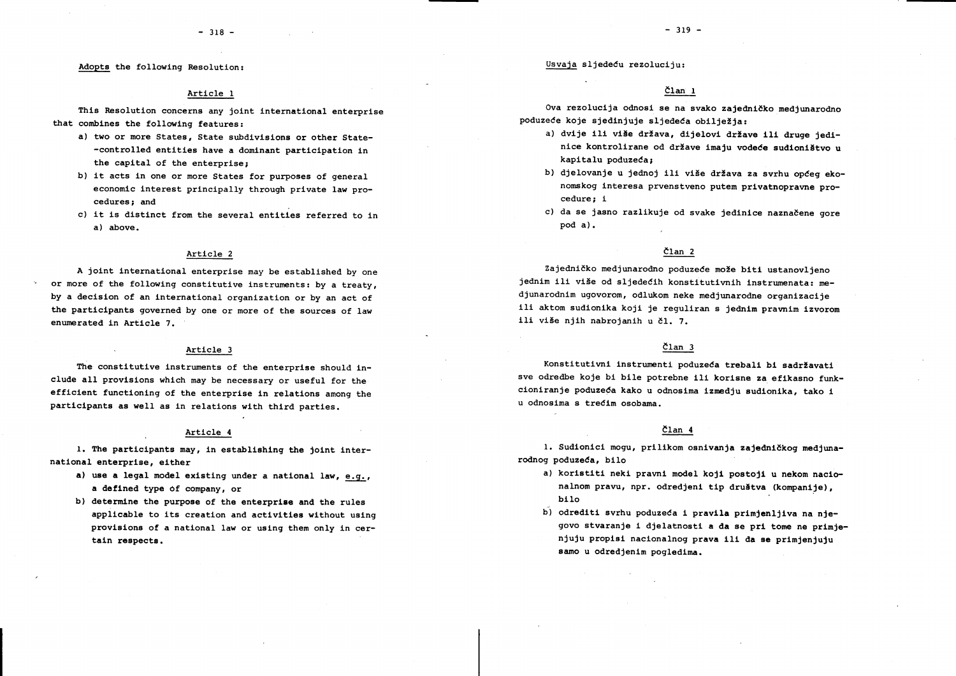Adopts the following Resolution:

### Article 1

This Resolution concerns any joint international enterprise that combines the following features:

- a) two or more States. State subdivisions or other State--controlled entities have a dominant participation in the capital of the enterprise:
- b) it acts in one or more States for purposes of general economic interest principally through private law procedures: and
- c) it is distinct from the several entities referred to in a) above.

# Article 2

A joint international enterprise may be established by one or more of the following constitutive instruments: by a treaty, by a decision of an international organization or by an act of the participants governed by one or more of the sources of law enumerated in Article 7.

#### Article 3

The constitutive instruments of the enterprise should include all provisions which may be necessary or useful for the efficient functioning of the enterprise in relations among the participants as well as in relations with third parties.

#### Article 4

1. The participants may, in establishing the joint international enterprise, either

- a) use a legal model existing under a national law, e.g., a defined type of company, or
- b) determine the purpose of the enterprise and the rules applicable to its creation and activities without using provisions of a national law or using them only in certain respects.

Usvaja sljedeću rezoluciju:

### $\text{Član}$  1

Ova rezolucija odnosi se na svako zajedničko medjunarodno poduzeće koje sjedinjuje sljedeća obilježia:

- a) dvije ili više država, dijelovi države ili druge jedinice kontrolirane od države imaju vodeće sudioništvo u kapitalu poduzeća:
- b) djelovanje u jednoj ili više država za svrhu općeg ekonomskog interesa prvenstveno putem privatnopravne procedure: i
- c) da se jasno razlikuje od svake jedinice naznačene gore pod a).

### $\text{Član}$  2

Zajedničko medjunarodno poduzeće može biti ustanovljeno jednim ili više od sljedećih konstitutivnih instrumenata: mediunarodnim ugovorom, odlukom neke medjunarodne organizacije ili aktom sudionika koji je reguliran s jednim pravnim izvorom ili više niih nabrojanih u čl. 7.

## $\text{Član}$  3

Konstitutivni instrumenti poduzeća trebali bi sadržavati sve odredbe koje bi bile potrebne ili korisne za efikasno funkcioniranie poduzeća kako u odnosima izmedju sudionika, tako i u odnosima s trećim osobama.

## Član 4

1. Sudionici mogu, prilikom osnivanja zajedničkog medjunarodnog poduzeća, bilo

- a) koristiti neki pravni model koji postoji u nekom nacionalnom pravu, npr. odredjeni tip društva (kompanije), bilo
- b) odrediti svrhu poduzeća i pravila primjenljiva na njegovo stvaranje i djelatnosti a da se pri tome ne primjenjuju propisi nacionalnog prava ili da se primjenjuju samo u odredjenim pogledima.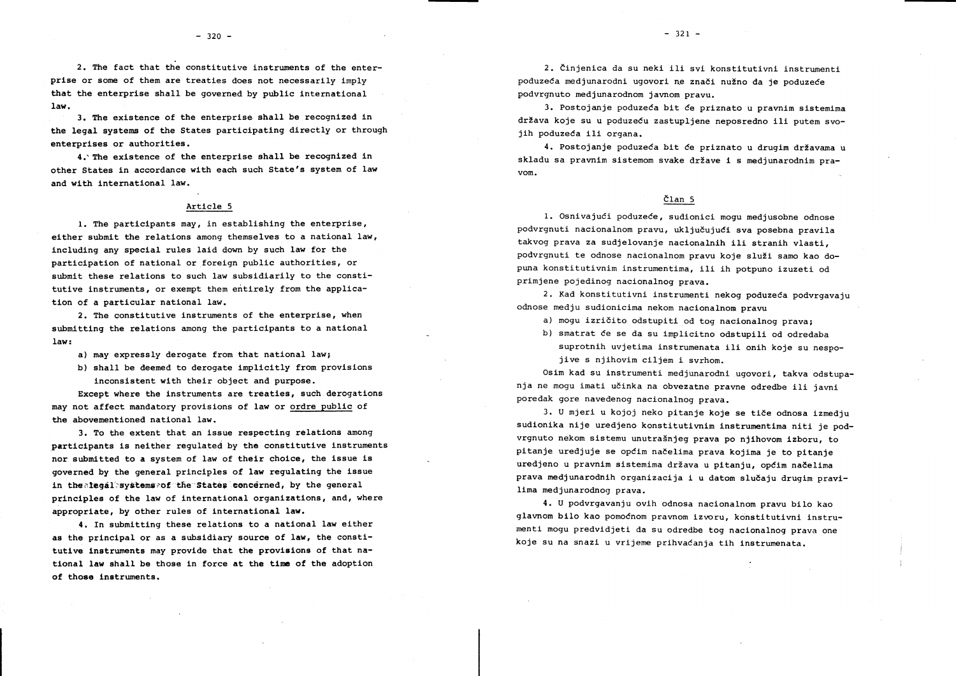2. The fact that the constitutive instruments of the enterprise or some of them are treaties does not necessarily imply that the enterprise shall be governed by public international  $1aw.$ 

3. The existence of the enterprise shall be recognized in the legal systems of the States participating directly or through enterprises or authorities.

4. The existence of the enterprise shall be recognized in other States in accordance with each such State's system of law and with international law.

## Article 5

1. The participants may, in establishing the enterprise, either submit the relations among themselves to a national law, including any special rules laid down by such law for the participation of national or foreign public authorities, or submit these relations to such law subsidiarily to the constitutive instruments, or exempt them entirely from the application of a particular national law.

2. The constitutive instruments of the enterprise, when submitting the relations among the participants to a national  $law:$ 

a) may expressly derogate from that national law;

b) shall be deemed to derogate implicitly from provisions inconsistent with their object and purpose.

Except where the instruments are treaties, such derogations may not affect mandatory provisions of law or ordre public of the abovementioned national law.

3. To the extent that an issue respecting relations among participants is neither requlated by the constitutive instruments nor submitted to a system of law of their choice, the issue is governed by the general principles of law regulating the issue in the alegal systems and the States eencerned, by the general principles of the law of international organizations, and, where appropriate, by other rules of international law.

4. In submitting these relations to a national law either as the principal or as a subsidiary source of law, the constitutive instruments may provide that the provisions of that national law shall be those in force at the time of the adoption of those instruments.

2. Činjenica da su neki ili svi konstitutivni instrumenti poduzeća medjunarodni ugovori ne znači nužno da je poduzeće podvrgnuto medjunarodnom javnom pravu.

3. Postojanje poduzeća bit će priznato u pravnim sistemima država koje su u poduzeću zastupljene neposredno ili putem svojih poduzeća ili organa.

4. Postojanje poduzeća bit će priznato u drugim državama u skladu sa pravnim sistemom svake države i s mediunarodnim pra $v \circ m$ .

### Član 5

1. Osnivajući poduzeće, sudionici mogu mediusobne odnose podvrgnuti nacionalnom pravu, uključujući sva posebna pravila takvog prava za sudjelovanje nacionalnih ili stranih vlasti. podvrgnuti te odnose nacionalnom pravu koje služi samo kao dopuna konstitutivnim instrumentima, ili ih potpuno izuzeti od primjene pojedinog nacionalnog prava.

2. Kad konstitutivni instrumenti nekog poduzeća podvrgavaju odnose mediu sudionicima nekom nacionalnom pravu

a) moqu izričito odstupiti od tog nacionalnog prava;

b) smatrat će se da su implicitno odstupili od odredaba

suprotnih uvjetima instrumenata ili onih koje su nespojive s njihovim ciljem i svrhom.

Osim kad su instrumenti medjunarodni ugovori, takva odstupania ne mogu imati učinka na obvezatne pravne odredbe ili javni poredak gore navedenog nacionalnog prava.

3. U mjeri u kojoj neko pitanje koje se tiče odnosa izmedju sudionika nije uredjeno konstitutivnim instrumentima niti je podvrgnuto nekom sistemu unutrašnjeg prava po njihovom izboru, to pitanje uredjuje se općim načelima prava kojima je to pitanje uredjeno u pravnim sistemima država u pitanju, općim načelima prava medjunarodnih organizacija i u datom slučaju drugim pravilima medjunarodnog prava.

4. U podvrgavanju ovih odnosa nacionalnom pravu bilo kao glavnom bilo kao pomoćnom pravnom izvoru, konstitutivni instrumenti mogu predvidjeti da su odredbe tog nacionalnog prava one koje su na snazi u vrijeme prihvaćanja tih instrumenata.